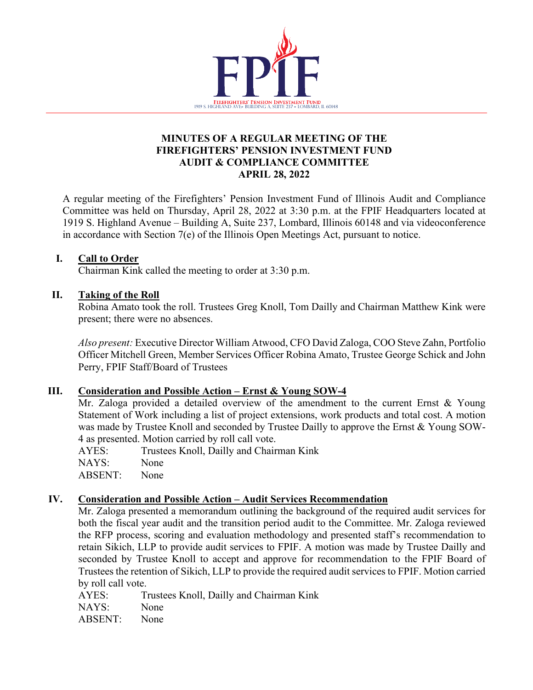

#### **MINUTES OF A REGULAR MEETING OF THE FIREFIGHTERS' PENSION INVESTMENT FUND AUDIT & COMPLIANCE COMMITTEE APRIL 28, 2022**

A regular meeting of the Firefighters' Pension Investment Fund of Illinois Audit and Compliance Committee was held on Thursday, April 28, 2022 at 3:30 p.m. at the FPIF Headquarters located at 1919 S. Highland Avenue – Building A, Suite 237, Lombard, Illinois 60148 and via videoconference in accordance with Section 7(e) of the Illinois Open Meetings Act, pursuant to notice.

# **I. Call to Order**

Chairman Kink called the meeting to order at 3:30 p.m.

# **II. Taking of the Roll**

Robina Amato took the roll. Trustees Greg Knoll, Tom Dailly and Chairman Matthew Kink were present; there were no absences.

*Also present:* Executive Director William Atwood, CFO David Zaloga, COO Steve Zahn, Portfolio Officer Mitchell Green, Member Services Officer Robina Amato, Trustee George Schick and John Perry, FPIF Staff/Board of Trustees

# **III. Consideration and Possible Action – Ernst & Young SOW-4**

Mr. Zaloga provided a detailed overview of the amendment to the current Ernst & Young Statement of Work including a list of project extensions, work products and total cost. A motion was made by Trustee Knoll and seconded by Trustee Dailly to approve the Ernst & Young SOW-4 as presented. Motion carried by roll call vote.

| Trustees Knoll, Dailly and Chairman Kink |
|------------------------------------------|
| None                                     |
| ABSENT: None                             |
|                                          |

# **IV. Consideration and Possible Action – Audit Services Recommendation**

Mr. Zaloga presented a memorandum outlining the background of the required audit services for both the fiscal year audit and the transition period audit to the Committee. Mr. Zaloga reviewed the RFP process, scoring and evaluation methodology and presented staff's recommendation to retain Sikich, LLP to provide audit services to FPIF. A motion was made by Trustee Dailly and seconded by Trustee Knoll to accept and approve for recommendation to the FPIF Board of Trustees the retention of Sikich, LLP to provide the required audit services to FPIF. Motion carried by roll call vote.

AYES: Trustees Knoll, Dailly and Chairman Kink NAYS: None ABSENT: None